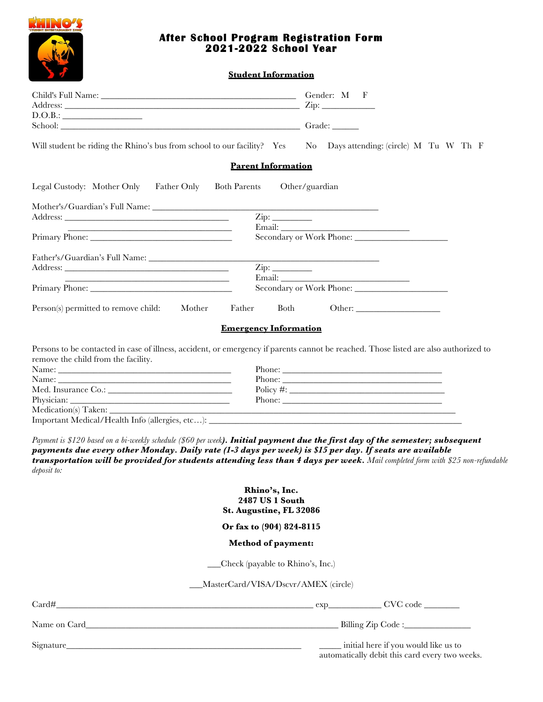

### **After School Program Registration Form 2021-2022 School Year**

**Student Information**

| D.O.B.:                                                                                                                                                                                                                                                                                                                                                                                           | $\mathsf{Zip:}\_$                                                                            |
|---------------------------------------------------------------------------------------------------------------------------------------------------------------------------------------------------------------------------------------------------------------------------------------------------------------------------------------------------------------------------------------------------|----------------------------------------------------------------------------------------------|
|                                                                                                                                                                                                                                                                                                                                                                                                   |                                                                                              |
| Will student be riding the Rhino's bus from school to our facility? Yes                                                                                                                                                                                                                                                                                                                           | No Days attending: (circle) M Tu W Th F                                                      |
| <b>Parent Information</b>                                                                                                                                                                                                                                                                                                                                                                         |                                                                                              |
| Legal Custody: Mother Only<br>Father Only<br><b>Both Parents</b>                                                                                                                                                                                                                                                                                                                                  | Other/guardian                                                                               |
|                                                                                                                                                                                                                                                                                                                                                                                                   |                                                                                              |
|                                                                                                                                                                                                                                                                                                                                                                                                   | $\overline{\mathrm{Zip:}}$                                                                   |
|                                                                                                                                                                                                                                                                                                                                                                                                   |                                                                                              |
|                                                                                                                                                                                                                                                                                                                                                                                                   |                                                                                              |
|                                                                                                                                                                                                                                                                                                                                                                                                   | $\mathop{\rm Zip}\nolimits$ :                                                                |
| the contract of the contract of the contract of the contract of the contract of                                                                                                                                                                                                                                                                                                                   |                                                                                              |
|                                                                                                                                                                                                                                                                                                                                                                                                   |                                                                                              |
| Person(s) permitted to remove child: Mother<br>Father                                                                                                                                                                                                                                                                                                                                             | Both                                                                                         |
| <b>Emergency Information</b>                                                                                                                                                                                                                                                                                                                                                                      |                                                                                              |
| Persons to be contacted in case of illness, accident, or emergency if parents cannot be reached. Those listed are also authorized to                                                                                                                                                                                                                                                              |                                                                                              |
| remove the child from the facility.                                                                                                                                                                                                                                                                                                                                                               |                                                                                              |
|                                                                                                                                                                                                                                                                                                                                                                                                   |                                                                                              |
|                                                                                                                                                                                                                                                                                                                                                                                                   |                                                                                              |
|                                                                                                                                                                                                                                                                                                                                                                                                   |                                                                                              |
|                                                                                                                                                                                                                                                                                                                                                                                                   |                                                                                              |
|                                                                                                                                                                                                                                                                                                                                                                                                   |                                                                                              |
|                                                                                                                                                                                                                                                                                                                                                                                                   |                                                                                              |
| Payment is \$120 based on a bi-weekly schedule (\$60 per week <b>). Initial payment due the first day of the semester; subsequent</b><br>payments due every other Monday. Daily rate (1-3 days per week) is \$15 per day. If seats are available<br>transportation will be provided for students attending less than 4 days per week. Mail completed form with \$25 non-refundable<br>deposit to: |                                                                                              |
| Rhino's, Inc.                                                                                                                                                                                                                                                                                                                                                                                     |                                                                                              |
| 2487 US 1 South<br>St. Augustine, FL 32086                                                                                                                                                                                                                                                                                                                                                        |                                                                                              |
| Or fax to (904) 824-8115                                                                                                                                                                                                                                                                                                                                                                          |                                                                                              |
| <b>Method of payment:</b>                                                                                                                                                                                                                                                                                                                                                                         |                                                                                              |
|                                                                                                                                                                                                                                                                                                                                                                                                   | _Check (payable to Rhino's, Inc.)                                                            |
|                                                                                                                                                                                                                                                                                                                                                                                                   | MasterCard/VISA/Dscvr/AMEX (circle)                                                          |
|                                                                                                                                                                                                                                                                                                                                                                                                   |                                                                                              |
|                                                                                                                                                                                                                                                                                                                                                                                                   |                                                                                              |
|                                                                                                                                                                                                                                                                                                                                                                                                   |                                                                                              |
|                                                                                                                                                                                                                                                                                                                                                                                                   | _____ initial here if you would like us to<br>automatically debit this card every two weeks. |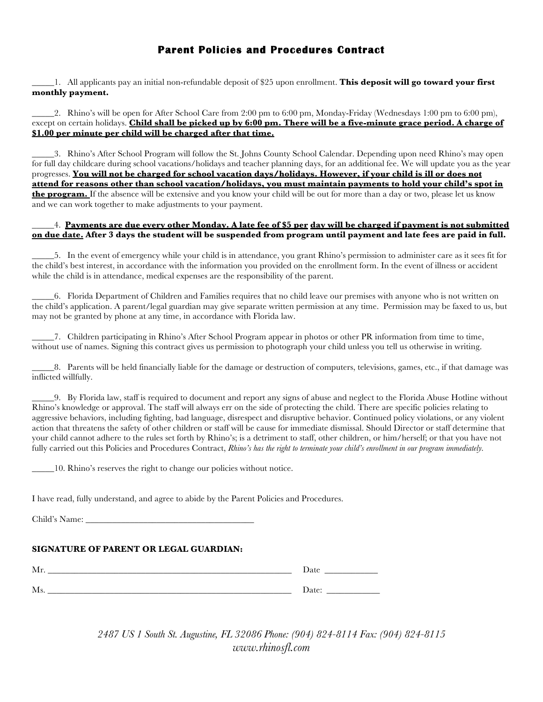# **Parent Policies and Procedures Contract**

\_\_\_\_\_1. All applicants pay an initial non-refundable deposit of \$25 upon enrollment. **This deposit will go toward your first monthly payment.**

\_\_\_\_\_2. Rhino's will be open for After School Care from 2:00 pm to 6:00 pm, Monday-Friday (Wednesdays 1:00 pm to 6:00 pm), except on certain holidays. **Child shall be picked up by 6:00 pm. There will be a five-minute grace period. A charge of \$1.00 per minute per child will be charged after that time.**

\_\_\_\_\_3. Rhino's After School Program will follow the St. Johns County School Calendar. Depending upon need Rhino's may open for full day childcare during school vacations/holidays and teacher planning days, for an additional fee. We will update you as the year progresses. **You will not be charged for school vacation days/holidays. However, if your child is ill or does not attend for reasons other than school vacation/holidays, you must maintain payments to hold your child's spot in the program.** If the absence will be extensive and you know your child will be out for more than a day or two, please let us know and we can work together to make adjustments to your payment.

#### \_\_\_\_\_4. **Payments are due every other Monday. A late fee of \$5 per day will be charged if payment is not submitted on due date. After 3 days the student will be suspended from program until payment and late fees are paid in full.**

\_\_\_\_\_5. In the event of emergency while your child is in attendance, you grant Rhino's permission to administer care as it sees fit for the child's best interest, in accordance with the information you provided on the enrollment form. In the event of illness or accident while the child is in attendance, medical expenses are the responsibility of the parent.

\_\_\_\_\_6. Florida Department of Children and Families requires that no child leave our premises with anyone who is not written on the child's application. A parent/legal guardian may give separate written permission at any time. Permission may be faxed to us, but may not be granted by phone at any time, in accordance with Florida law.

\_\_\_\_\_7. Children participating in Rhino's After School Program appear in photos or other PR information from time to time, without use of names. Signing this contract gives us permission to photograph your child unless you tell us otherwise in writing.

\_\_\_\_\_8. Parents will be held financially liable for the damage or destruction of computers, televisions, games, etc., if that damage was inflicted willfully.

\_\_\_\_\_9. By Florida law, staff is required to document and report any signs of abuse and neglect to the Florida Abuse Hotline without Rhino's knowledge or approval. The staff will always err on the side of protecting the child. There are specific policies relating to aggressive behaviors, including fighting, bad language, disrespect and disruptive behavior. Continued policy violations, or any violent action that threatens the safety of other children or staff will be cause for immediate dismissal. Should Director or staff determine that your child cannot adhere to the rules set forth by Rhino's; is a detriment to staff, other children, or him/herself; or that you have not fully carried out this Policies and Procedures Contract, *Rhino's has the right to terminate your child's enrollment in our program immediately*.

\_\_\_\_\_10. Rhino's reserves the right to change our policies without notice.

I have read, fully understand, and agree to abide by the Parent Policies and Procedures.

Child's Name:

#### **SIGNATURE OF PARENT OR LEGAL GUARDIAN:**

| $\mathbf{A}$<br>-IVIIT | Date              |
|------------------------|-------------------|
| <b>B</b> A             | $\mathbf{D}$ ate: |
| TAT'S                  | Dav.              |

*2487 US 1 South St. Augustine, FL 32086 Phone: (904) 824-8114 Fax: (904) 824-8115 www.rhinosfl.com*